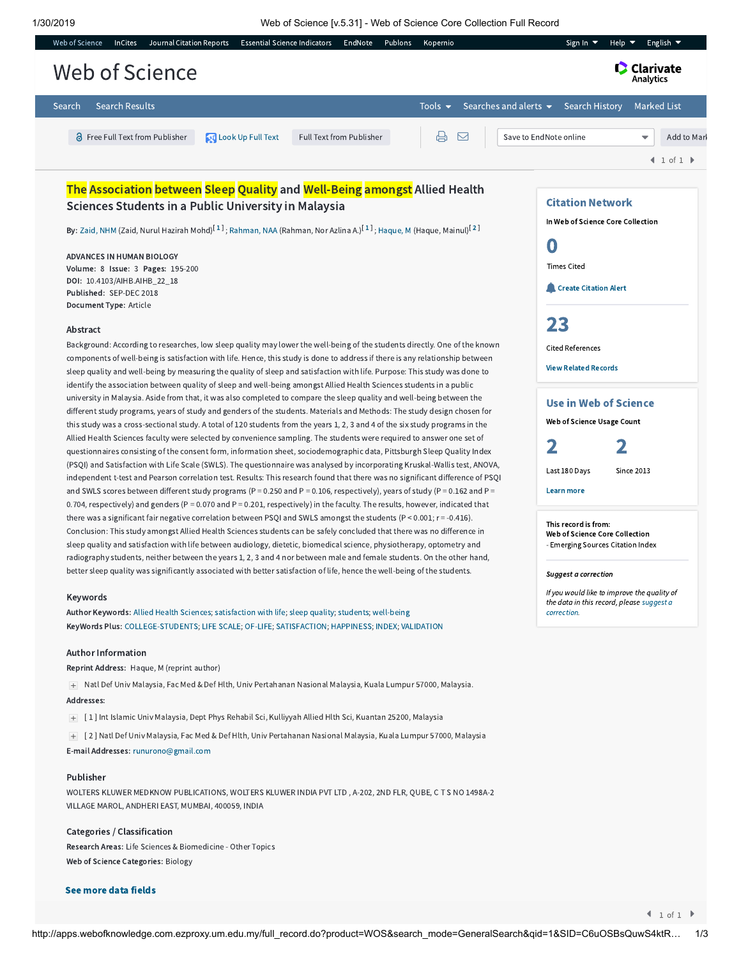|                | Web of Science | <b>InCites</b>        | Journal Citation Reports               |  |                             | Essential Science Indicators EndNote Publons |                          |  | Kopernio                   |  |                                   | Sign In $\blacktriangledown$ | Help $\blacktriangledown$ |  | English $\blacktriangledown$ |
|----------------|----------------|-----------------------|----------------------------------------|--|-----------------------------|----------------------------------------------|--------------------------|--|----------------------------|--|-----------------------------------|------------------------------|---------------------------|--|------------------------------|
| Web of Science |                |                       |                                        |  |                             |                                              |                          |  |                            |  |                                   | Analytics                    | <b>C</b> Clarivate        |  |                              |
| Search         |                | <b>Search Results</b> |                                        |  |                             |                                              |                          |  | Tools $\blacktriangledown$ |  | Searches and alerts $\rightarrow$ | Search History               |                           |  | Marked List                  |
|                |                |                       | <b>a</b> Free Full Text from Publisher |  | <b>QU</b> Look Up Full Text |                                              | Full Text from Publisher |  | $\Box$                     |  | Save to EndNote online            |                              |                           |  | Add to Marl                  |
|                |                |                       |                                        |  |                             |                                              |                          |  |                            |  |                                   |                              |                           |  | 1 of 1                       |
|                |                |                       |                                        |  |                             |                                              |                          |  |                            |  |                                   |                              |                           |  |                              |

# The Association between Sleep Quality and Well-Being amongst Allied Health Sciences Students in a Public University in Malaysia

**By:** [Zaid,](http://apps.webofknowledge.com.ezproxy.um.edu.my/DaisyOneClickSearch.do?product=WOS&search_mode=DaisyOneClickSearch&colName=WOS&SID=C6uOSBsQuwS4ktRnzfU&author_name=Zaid,%20NHM&dais_id=28049192&excludeEventConfig=ExcludeIfFromFullRecPage) NHM (Zaid, Nurul Hazirah Mohd) $^{[1]}$  $^{[1]}$  $^{[1]}$ ; [Rahman,](http://apps.webofknowledge.com.ezproxy.um.edu.my/DaisyOneClickSearch.do?product=WOS&search_mode=DaisyOneClickSearch&colName=WOS&SID=C6uOSBsQuwS4ktRnzfU&author_name=Rahman,%20NAA&dais_id=1836651&excludeEventConfig=ExcludeIfFromFullRecPage) NAA (Rahman, Nor Azlina A.) $^{[1]}$ ; [Haque,](http://apps.webofknowledge.com.ezproxy.um.edu.my/DaisyOneClickSearch.do?product=WOS&search_mode=DaisyOneClickSearch&colName=WOS&SID=C6uOSBsQuwS4ktRnzfU&author_name=Haque,%20M&dais_id=746188&excludeEventConfig=ExcludeIfFromFullRecPage) M (Haque, Mainul) $^{[2]}$  $^{[2]}$  $^{[2]}$ 

ADVANCES IN HUMAN BIOLOGY Volume: 8 Issue: 3 Pages: 195-200 DOI: 10.4103/AIHB.AIHB\_22\_18 Published: SEP-DEC 2018 Document Type: Article

### Abstract

Background: According to researches, low sleep quality may lower the well-being of the students directly. One of the known components of well-being is satisfaction with life. Hence, this study is done to address if there is any relationship between sleep quality and well-being by measuring the quality of sleep and satisfaction with life. Purpose: This study was done to identify the association between quality of sleep and well-being amongst Allied Health Sciences students in a public university in Malaysia. Aside from that, it was also completed to compare the sleep quality and well-being between the different study programs, years of study and genders of the students. Materials and Methods: The study design chosen for this study was a cross-sectional study. A total of 120 students from the years 1, 2, 3 and 4 of the six study programs in the Allied Health Sciences faculty were selected by convenience sampling. The students were required to answer one set of questionnaires consisting of the consent form, information sheet, sociodemographic data, Pittsburgh Sleep Quality Index (PSQI) and Satisfaction with Life Scale (SWLS). The questionnaire was analysed by incorporating Kruskal-Wallis test, ANOVA, independent t-test and Pearson correlation test. Results: This research found that there was no significant difference of PSQI and SWLS scores between different study programs (P = 0.250 and P = 0.106, respectively), years of study (P = 0.162 and P = 0.704, respectively) and genders (P = 0.070 and P = 0.201, respectively) in the faculty. The results, however, indicated that there was a significant fair negative correlation between PSQI and SWLS amongst the students  $(P < 0.001; r = -0.416)$ . Conclusion: This study amongst Allied Health Sciences students can be safely concluded that there was no difference in sleep quality and satisfaction with life between audiology, dietetic, biomedical science, physiotherapy, optometry and radiography students, neither between the years 1, 2, 3 and 4 nor between male and female students. On the other hand, better sleep quality was significantly associated with better satisfaction of life, hence the well-being of the students.

# Keywords

Author Keywords: Allied Health [Sciences](http://apps.webofknowledge.com.ezproxy.um.edu.my/OneClickSearch.do?product=WOS&search_mode=OneClickSearch&excludeEventConfig=ExcludeIfFromFullRecPage&colName=WOS&SID=C6uOSBsQuwS4ktRnzfU&field=TS&value=Allied+Health+Sciences&uncondQuotes=true); [satisfaction](http://apps.webofknowledge.com.ezproxy.um.edu.my/OneClickSearch.do?product=WOS&search_mode=OneClickSearch&excludeEventConfig=ExcludeIfFromFullRecPage&colName=WOS&SID=C6uOSBsQuwS4ktRnzfU&field=TS&value=satisfaction+with+life&uncondQuotes=true) with life; sleep [quality](http://apps.webofknowledge.com.ezproxy.um.edu.my/OneClickSearch.do?product=WOS&search_mode=OneClickSearch&excludeEventConfig=ExcludeIfFromFullRecPage&colName=WOS&SID=C6uOSBsQuwS4ktRnzfU&field=TS&value=sleep+quality&uncondQuotes=true); [students](http://apps.webofknowledge.com.ezproxy.um.edu.my/OneClickSearch.do?product=WOS&search_mode=OneClickSearch&excludeEventConfig=ExcludeIfFromFullRecPage&colName=WOS&SID=C6uOSBsQuwS4ktRnzfU&field=TS&value=students&uncondQuotes=true); [well-being](http://apps.webofknowledge.com.ezproxy.um.edu.my/OneClickSearch.do?product=WOS&search_mode=OneClickSearch&excludeEventConfig=ExcludeIfFromFullRecPage&colName=WOS&SID=C6uOSBsQuwS4ktRnzfU&field=TS&value=well-being&uncondQuotes=true) KeyWords Plus: [COLLEGE-STUDENTS;](http://apps.webofknowledge.com.ezproxy.um.edu.my/OneClickSearch.do?product=WOS&search_mode=OneClickSearch&excludeEventConfig=ExcludeIfFromFullRecPage&colName=WOS&SID=C6uOSBsQuwS4ktRnzfU&field=TS&value=COLLEGE-STUDENTS&uncondQuotes=true) LIFE [SCALE](http://apps.webofknowledge.com.ezproxy.um.edu.my/OneClickSearch.do?product=WOS&search_mode=OneClickSearch&excludeEventConfig=ExcludeIfFromFullRecPage&colName=WOS&SID=C6uOSBsQuwS4ktRnzfU&field=TS&value=LIFE+SCALE&uncondQuotes=true); [OF-LIFE](http://apps.webofknowledge.com.ezproxy.um.edu.my/OneClickSearch.do?product=WOS&search_mode=OneClickSearch&excludeEventConfig=ExcludeIfFromFullRecPage&colName=WOS&SID=C6uOSBsQuwS4ktRnzfU&field=TS&value=OF-LIFE&uncondQuotes=true); [SATISFACTION](http://apps.webofknowledge.com.ezproxy.um.edu.my/OneClickSearch.do?product=WOS&search_mode=OneClickSearch&excludeEventConfig=ExcludeIfFromFullRecPage&colName=WOS&SID=C6uOSBsQuwS4ktRnzfU&field=TS&value=SATISFACTION&uncondQuotes=true); [HAPPINESS;](http://apps.webofknowledge.com.ezproxy.um.edu.my/OneClickSearch.do?product=WOS&search_mode=OneClickSearch&excludeEventConfig=ExcludeIfFromFullRecPage&colName=WOS&SID=C6uOSBsQuwS4ktRnzfU&field=TS&value=HAPPINESS&uncondQuotes=true) [INDEX](http://apps.webofknowledge.com.ezproxy.um.edu.my/OneClickSearch.do?product=WOS&search_mode=OneClickSearch&excludeEventConfig=ExcludeIfFromFullRecPage&colName=WOS&SID=C6uOSBsQuwS4ktRnzfU&field=TS&value=INDEX&uncondQuotes=true); [VALIDATION](http://apps.webofknowledge.com.ezproxy.um.edu.my/OneClickSearch.do?product=WOS&search_mode=OneClickSearch&excludeEventConfig=ExcludeIfFromFullRecPage&colName=WOS&SID=C6uOSBsQuwS4ktRnzfU&field=TS&value=VALIDATION&uncondQuotes=true)

#### Author Information

Reprint Address: Haque, M (reprint author)

Natl Def Univ Malaysia, Fac Med & Def Hlth, Univ Pertahanan Nasional Malaysia, Kuala Lumpur 57000, Malaysia. Addresses:

[ 1 ] Int Islamic Univ Malaysia, Dept Phys Rehabil Sci, Kulliyyah Allied Hlth Sci, Kuantan 25200, Malaysia

[ 2 ] Natl Def Univ Malaysia, Fac Med & Def Hlth, Univ Pertahanan Nasional Malaysia, Kuala Lumpur 57000, Malaysia

E-mail Addresses: [runurono@gmail.com](mailto:runurono@gmail.com)

# Publisher

WOLTERS KLUWER MEDKNOW PUBLICATIONS, WOLTERS KLUWER INDIA PVT LTD , A-202, 2ND FLR, QUBE, C T S NO 1498A-2 VILLAGE MAROL, ANDHERI EAST, MUMBAI, 400059, INDIA

### Categories / Classification

Research Areas: Life Sciences & Biomedicine - Other Topics Web of Science Categories: Biology

## See more data fields

Citation Network In Web of Science Core Collection 0 Times Cited **Create [Citation](javascript:csiovl() Alert** [23](http://apps.webofknowledge.com.ezproxy.um.edu.my/InterService.do?product=WOS&toPID=WOS&action=AllCitationService&isLinks=yes&highlighted_tab=WOS&last_prod=WOS&fromPID=WOS&returnLink=http%3a%2f%2fapps.webofknowledge.com%2ffull_record.do%3fhighlighted_tab%3dWOS%26last_prod%3dWOS%26search_mode%3dGeneralSearch%26qid%3d1%26log_event%3dyes%26product%3dWOS%26SID%3dC6uOSBsQuwS4ktRnzfU%26viewType%3dfullRecord%26doc%3d1%26page%3d1&srcDesc=RET2WOS&srcAlt=Back+to+Web+of+Science&UT=WOS:000445814700014&search_mode=CitedRefList&SID=C6uOSBsQuwS4ktRnzfU&parentProduct=WOS&parentQid=1&parentDoc=1&recid=WOS:000445814700014&PREC_REFCOUNT=23&fromRightPanel=true) Cited References View Related [Records](http://apps.webofknowledge.com.ezproxy.um.edu.my/InterService.do?product=WOS&toPID=WOS&action=AllCitationService&isLinks=yes&highlighted_tab=WOS&last_prod=WOS&fromPID=WOS&returnLink=http%3a%2f%2fapps.webofknowledge.com%2ffull_record.do%3fhighlighted_tab%3dWOS%26last_prod%3dWOS%26search_mode%3dGeneralSearch%26qid%3d1%26log_event%3dyes%26product%3dWOS%26SID%3dC6uOSBsQuwS4ktRnzfU%26viewType%3dfullRecord%26doc%3d1%26page%3d1&srcDesc=RET2WOS&srcAlt=Back+to+Web+of+Science&UT=WOS:000445814700014&parentProduct=WOS&parentQid=1&search_mode=RelatedRecords&SID=C6uOSBsQuwS4ktRnzfU&parentDoc=1) Use in Web of Science

Web of Science Usage Count



Learn more

This record is from: Web of Science Core Collection - Emerging Sources Citation Index

Suggest a correction

If you would like to improve the quality of the data in this record, please suggest a [correction.](javascript:;)